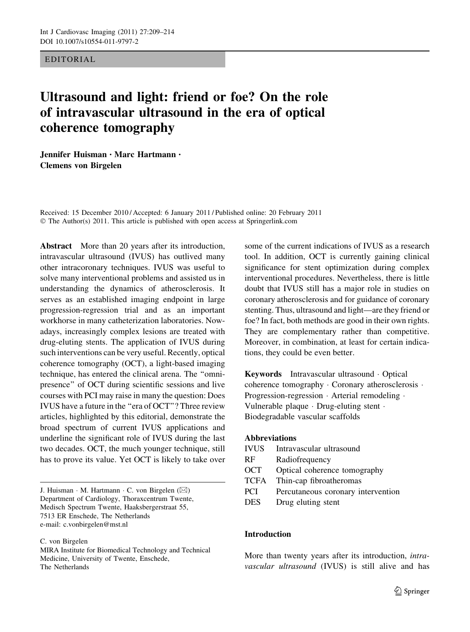## EDITORIAL

# Ultrasound and light: friend or foe? On the role of intravascular ultrasound in the era of optical coherence tomography

Jennifer Huisman • Marc Hartmann • Clemens von Birgelen

Received: 15 December 2010 / Accepted: 6 January 2011 / Published online: 20 February 2011 © The Author(s) 2011. This article is published with open access at Springerlink.com

Abstract More than 20 years after its introduction, intravascular ultrasound (IVUS) has outlived many other intracoronary techniques. IVUS was useful to solve many interventional problems and assisted us in understanding the dynamics of atherosclerosis. It serves as an established imaging endpoint in large progression-regression trial and as an important workhorse in many catheterization laboratories. Nowadays, increasingly complex lesions are treated with drug-eluting stents. The application of IVUS during such interventions can be very useful. Recently, optical coherence tomography (OCT), a light-based imaging technique, has entered the clinical arena. The ''omnipresence'' of OCT during scientific sessions and live courses with PCI may raise in many the question: Does IVUS have a future in the ''era of OCT''? Three review articles, highlighted by this editorial, demonstrate the broad spectrum of current IVUS applications and underline the significant role of IVUS during the last two decades. OCT, the much younger technique, still has to prove its value. Yet OCT is likely to take over

J. Huisman  $\cdot$  M. Hartmann  $\cdot$  C. von Birgelen ( $\boxtimes$ ) Department of Cardiology, Thoraxcentrum Twente, Medisch Spectrum Twente, Haaksbergerstraat 55, 7513 ER Enschede, The Netherlands e-mail: c.vonbirgelen@mst.nl

C. von Birgelen

some of the current indications of IVUS as a research tool. In addition, OCT is currently gaining clinical significance for stent optimization during complex interventional procedures. Nevertheless, there is little doubt that IVUS still has a major role in studies on coronary atherosclerosis and for guidance of coronary stenting. Thus, ultrasound and light—are they friend or foe? In fact, both methods are good in their own rights. They are complementary rather than competitive. Moreover, in combination, at least for certain indications, they could be even better.

Keywords Intravascular ultrasound - Optical coherence tomography · Coronary atherosclerosis · Progression-regression · Arterial remodeling · Vulnerable plaque · Drug-eluting stent · Biodegradable vascular scaffolds

## Abbreviations

- IVUS Intravascular ultrasound
- RF Radiofrequency
- OCT Optical coherence tomography
- TCFA Thin-cap fibroatheromas
- PCI Percutaneous coronary intervention
- DES Drug eluting stent

## Introduction

More than twenty years after its introduction, intravascular ultrasound (IVUS) is still alive and has

MIRA Institute for Biomedical Technology and Technical Medicine, University of Twente, Enschede, The Netherlands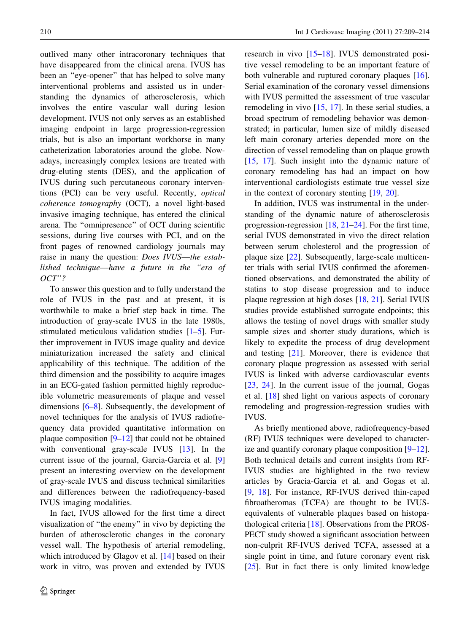outlived many other intracoronary techniques that have disappeared from the clinical arena. IVUS has been an ''eye-opener'' that has helped to solve many interventional problems and assisted us in understanding the dynamics of atherosclerosis, which involves the entire vascular wall during lesion development. IVUS not only serves as an established imaging endpoint in large progression-regression trials, but is also an important workhorse in many catheterization laboratories around the globe. Nowadays, increasingly complex lesions are treated with drug-eluting stents (DES), and the application of IVUS during such percutaneous coronary interventions (PCI) can be very useful. Recently, optical coherence tomography (OCT), a novel light-based invasive imaging technique, has entered the clinical arena. The ''omnipresence'' of OCT during scientific sessions, during live courses with PCI, and on the front pages of renowned cardiology journals may raise in many the question: Does IVUS—the established technique—have a future in the ''era of OCT''?

To answer this question and to fully understand the role of IVUS in the past and at present, it is worthwhile to make a brief step back in time. The introduction of gray-scale IVUS in the late 1980s, stimulated meticulous validation studies [\[1–5](#page-3-0)]. Further improvement in IVUS image quality and device miniaturization increased the safety and clinical applicability of this technique. The addition of the third dimension and the possibility to acquire images in an ECG-gated fashion permitted highly reproducible volumetric measurements of plaque and vessel dimensions [\[6–8](#page-3-0)]. Subsequently, the development of novel techniques for the analysis of IVUS radiofrequency data provided quantitative information on plaque composition [[9–](#page-3-0)[12\]](#page-4-0) that could not be obtained with conventional gray-scale IVUS [[13\]](#page-4-0). In the current issue of the journal, Garcia-Garcia et al. [[9\]](#page-3-0) present an interesting overview on the development of gray-scale IVUS and discuss technical similarities and differences between the radiofrequency-based IVUS imaging modalities.

In fact, IVUS allowed for the first time a direct visualization of ''the enemy'' in vivo by depicting the burden of atherosclerotic changes in the coronary vessel wall. The hypothesis of arterial remodeling, which introduced by Glagov et al. [[14\]](#page-4-0) based on their work in vitro, was proven and extended by IVUS research in vivo [[15–18\]](#page-4-0). IVUS demonstrated positive vessel remodeling to be an important feature of both vulnerable and ruptured coronary plaques [\[16](#page-4-0)]. Serial examination of the coronary vessel dimensions with IVUS permitted the assessment of true vascular remodeling in vivo [[15](#page-4-0), [17](#page-4-0)]. In these serial studies, a broad spectrum of remodeling behavior was demonstrated; in particular, lumen size of mildly diseased left main coronary arteries depended more on the direction of vessel remodeling than on plaque growth [\[15](#page-4-0), [17\]](#page-4-0). Such insight into the dynamic nature of coronary remodeling has had an impact on how interventional cardiologists estimate true vessel size in the context of coronary stenting [\[19](#page-4-0), [20](#page-4-0)].

In addition, IVUS was instrumental in the understanding of the dynamic nature of atherosclerosis progression-regression [[18,](#page-4-0) [21–24\]](#page-4-0). For the first time, serial IVUS demonstrated in vivo the direct relation between serum cholesterol and the progression of plaque size [[22\]](#page-4-0). Subsequently, large-scale multicenter trials with serial IVUS confirmed the aforementioned observations, and demonstrated the ability of statins to stop disease progression and to induce plaque regression at high doses [\[18](#page-4-0), [21](#page-4-0)]. Serial IVUS studies provide established surrogate endpoints; this allows the testing of novel drugs with smaller study sample sizes and shorter study durations, which is likely to expedite the process of drug development and testing [[21\]](#page-4-0). Moreover, there is evidence that coronary plaque progression as assessed with serial IVUS is linked with adverse cardiovascular events [\[23](#page-4-0), [24\]](#page-4-0). In the current issue of the journal, Gogas et al. [[18\]](#page-4-0) shed light on various aspects of coronary remodeling and progression-regression studies with IVUS.

As briefly mentioned above, radiofrequency-based (RF) IVUS techniques were developed to characterize and quantify coronary plaque composition [[9–](#page-3-0)[12](#page-4-0)]. Both technical details and current insights from RF-IVUS studies are highlighted in the two review articles by Gracia-Garcia et al. and Gogas et al. [\[9](#page-3-0), [18](#page-4-0)]. For instance, RF-IVUS derived thin-caped fibroatheromas (TCFA) are thought to be IVUSequivalents of vulnerable plaques based on histopathological criteria [[18\]](#page-4-0). Observations from the PROS-PECT study showed a significant association between non-culprit RF-IVUS derived TCFA, assessed at a single point in time, and future coronary event risk [\[25](#page-4-0)]. But in fact there is only limited knowledge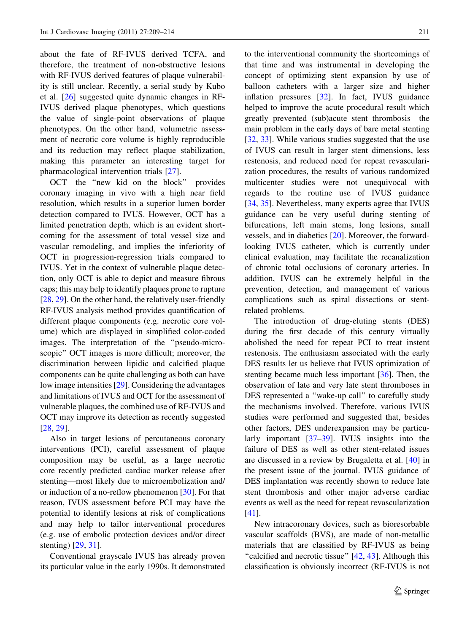about the fate of RF-IVUS derived TCFA, and therefore, the treatment of non-obstructive lesions with RF-IVUS derived features of plaque vulnerability is still unclear. Recently, a serial study by Kubo et al. [\[26](#page-4-0)] suggested quite dynamic changes in RF-IVUS derived plaque phenotypes, which questions the value of single-point observations of plaque phenotypes. On the other hand, volumetric assessment of necrotic core volume is highly reproducible and its reduction may reflect plaque stabilization, making this parameter an interesting target for pharmacological intervention trials [\[27](#page-4-0)].

OCT—the ''new kid on the block''—provides coronary imaging in vivo with a high near field resolution, which results in a superior lumen border detection compared to IVUS. However, OCT has a limited penetration depth, which is an evident shortcoming for the assessment of total vessel size and vascular remodeling, and implies the inferiority of OCT in progression-regression trials compared to IVUS. Yet in the context of vulnerable plaque detection, only OCT is able to depict and measure fibrous caps; this may help to identify plaques prone to rupture [\[28](#page-4-0), [29](#page-4-0)]. On the other hand, the relatively user-friendly RF-IVUS analysis method provides quantification of different plaque components (e.g. necrotic core volume) which are displayed in simplified color-coded images. The interpretation of the ''pseudo-microscopic'' OCT images is more difficult; moreover, the discrimination between lipidic and calcified plaque components can be quite challenging as both can have low image intensities [\[29](#page-4-0)]. Considering the advantages and limitations of IVUS and OCT for the assessment of vulnerable plaques, the combined use of RF-IVUS and OCT may improve its detection as recently suggested [\[28](#page-4-0), [29](#page-4-0)].

Also in target lesions of percutaneous coronary interventions (PCI), careful assessment of plaque composition may be useful, as a large necrotic core recently predicted cardiac marker release after stenting—most likely due to microembolization and/ or induction of a no-reflow phenomenon [[30\]](#page-4-0). For that reason, IVUS assessment before PCI may have the potential to identify lesions at risk of complications and may help to tailor interventional procedures (e.g. use of embolic protection devices and/or direct stenting) [[29,](#page-4-0) [31\]](#page-5-0).

Conventional grayscale IVUS has already proven its particular value in the early 1990s. It demonstrated to the interventional community the shortcomings of that time and was instrumental in developing the concept of optimizing stent expansion by use of balloon catheters with a larger size and higher inflation pressures [\[32](#page-5-0)]. In fact, IVUS guidance helped to improve the acute procedural result which greatly prevented (sub)acute stent thrombosis—the main problem in the early days of bare metal stenting [\[32](#page-5-0), [33](#page-5-0)]. While various studies suggested that the use of IVUS can result in larger stent dimensions, less restenosis, and reduced need for repeat revascularization procedures, the results of various randomized multicenter studies were not unequivocal with regards to the routine use of IVUS guidance [\[34](#page-5-0), [35](#page-5-0)]. Nevertheless, many experts agree that IVUS guidance can be very useful during stenting of bifurcations, left main stems, long lesions, small vessels, and in diabetics [\[20](#page-4-0)]. Moreover, the forwardlooking IVUS catheter, which is currently under clinical evaluation, may facilitate the recanalization of chronic total occlusions of coronary arteries. In addition, IVUS can be extremely helpful in the prevention, detection, and management of various complications such as spiral dissections or stentrelated problems.

The introduction of drug-eluting stents (DES) during the first decade of this century virtually abolished the need for repeat PCI to treat instent restenosis. The enthusiasm associated with the early DES results let us believe that IVUS optimization of stenting became much less important [[36\]](#page-5-0). Then, the observation of late and very late stent thromboses in DES represented a ''wake-up call'' to carefully study the mechanisms involved. Therefore, various IVUS studies were performed and suggested that, besides other factors, DES underexpansion may be particularly important [[37–39](#page-5-0)]. IVUS insights into the failure of DES as well as other stent-related issues are discussed in a review by Brugaletta et al. [[40\]](#page-5-0) in the present issue of the journal. IVUS guidance of DES implantation was recently shown to reduce late stent thrombosis and other major adverse cardiac events as well as the need for repeat revascularization [\[41](#page-5-0)].

New intracoronary devices, such as bioresorbable vascular scaffolds (BVS), are made of non-metallic materials that are classified by RF-IVUS as being "calcified and necrotic tissue"  $[42, 43]$  $[42, 43]$  $[42, 43]$  $[42, 43]$  $[42, 43]$ . Although this classification is obviously incorrect (RF-IVUS is not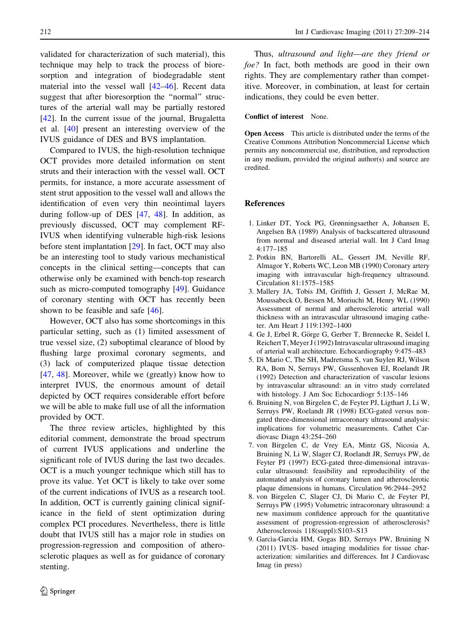<span id="page-3-0"></span>validated for characterization of such material), this technique may help to track the process of bioresorption and integration of biodegradable stent material into the vessel wall [\[42–46\]](#page-5-0). Recent data suggest that after bioresorption the ''normal'' structures of the arterial wall may be partially restored [\[42](#page-5-0)]. In the current issue of the journal, Brugaletta et al. [[40\]](#page-5-0) present an interesting overview of the IVUS guidance of DES and BVS implantation.

Compared to IVUS, the high-resolution technique OCT provides more detailed information on stent struts and their interaction with the vessel wall. OCT permits, for instance, a more accurate assessment of stent strut apposition to the vessel wall and allows the identification of even very thin neointimal layers during follow-up of DES [\[47](#page-5-0), [48\]](#page-5-0). In addition, as previously discussed, OCT may complement RF-IVUS when identifying vulnerable high-risk lesions before stent implantation [[29\]](#page-4-0). In fact, OCT may also be an interesting tool to study various mechanistical concepts in the clinical setting—concepts that can otherwise only be examined with bench-top research such as micro-computed tomography [[49\]](#page-5-0). Guidance of coronary stenting with OCT has recently been shown to be feasible and safe [\[46](#page-5-0)].

However, OCT also has some shortcomings in this particular setting, such as (1) limited assessment of true vessel size, (2) suboptimal clearance of blood by flushing large proximal coronary segments, and (3) lack of computerized plaque tissue detection [\[47](#page-5-0), [48\]](#page-5-0). Moreover, while we (greatly) know how to interpret IVUS, the enormous amount of detail depicted by OCT requires considerable effort before we will be able to make full use of all the information provided by OCT.

The three review articles, highlighted by this editorial comment, demonstrate the broad spectrum of current IVUS applications and underline the significant role of IVUS during the last two decades. OCT is a much younger technique which still has to prove its value. Yet OCT is likely to take over some of the current indications of IVUS as a research tool. In addition, OCT is currently gaining clinical significance in the field of stent optimization during complex PCI procedures. Nevertheless, there is little doubt that IVUS still has a major role in studies on progression-regression and composition of atherosclerotic plaques as well as for guidance of coronary stenting.

Thus, ultrasound and light—are they friend or foe? In fact, both methods are good in their own rights. They are complementary rather than competitive. Moreover, in combination, at least for certain indications, they could be even better.

## Conflict of interest None.

Open Access This article is distributed under the terms of the Creative Commons Attribution Noncommercial License which permits any noncommercial use, distribution, and reproduction in any medium, provided the original author(s) and source are credited.

#### References

- 1. Linker DT, Yock PG, Grønningsaether A, Johansen E, Angelsen BA (1989) Analysis of backscattered ultrasound from normal and diseased arterial wall. Int J Card Imag 4:177–185
- 2. Potkin BN, Bartorelli AL, Gessert JM, Neville RF, Almagor Y, Roberts WC, Leon MB (1990) Coronary artery imaging with intravascular high-frequency ultrasound. Circulation 81:1575–1585
- 3. Mallery JA, Tobis JM, Griffith J, Gessert J, McRae M, Moussabeck O, Bessen M, Moriuchi M, Henry WL (1990) Assessment of normal and atherosclerotic arterial wall thickness with an intravascular ultrasound imaging catheter. Am Heart J 119:1392–1400
- 4. Ge J, Erbel R, Görge G, Gerber T, Brennecke R, Seidel I, Reichert T, Meyer J (1992) Intravascular ultrasound imaging of arterial wall architecture. Echocardiography 9:475–483
- 5. Di Mario C, The SH, Madretsma S, van Suylen RJ, Wilson RA, Bom N, Serruys PW, Gussenhoven EJ, Roelandt JR (1992) Detection and characterization of vascular lesions by intravascular ultrasound: an in vitro study correlated with histology. J Am Soc Echocardiogr 5:135–146
- 6. Bruining N, von Birgelen C, de Feyter PJ, Ligthart J, Li W, Serruys PW, Roelandt JR (1998) ECG-gated versus nongated three-dimensional intracoronary ultrasound analysis: implications for volumetric measurements. Cathet Cardiovasc Diagn 43:254–260
- 7. von Birgelen C, de Vrey EA, Mintz GS, Nicosia A, Bruining N, Li W, Slager CJ, Roelandt JR, Serruys PW, de Feyter PJ (1997) ECG-gated three-dimensional intravascular ultrasound: feasibility and reproducibility of the automated analysis of coronary lumen and atherosclerotic plaque dimensions in humans. Circulation 96:2944–2952
- 8. von Birgelen C, Slager CJ, Di Mario C, de Feyter PJ, Serruys PW (1995) Volumetric intracoronary ultrasound: a new maximum confidence approach for the quantitative assessment of progression-regression of atherosclerosis? Atherosclerosis 118(suppl):S103–S13
- 9. Garcìa-Garcìa HM, Gogas BD, Serruys PW, Bruining N (2011) IVUS- based imaging modalities for tissue characterization: similarities and differences. Int J Cardiovasc Imag (in press)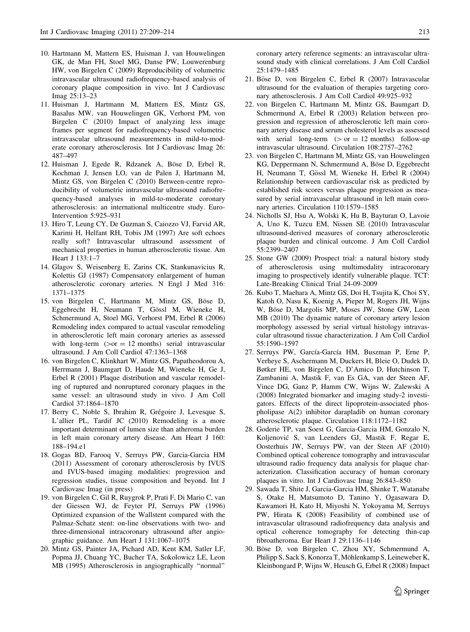- <span id="page-4-0"></span>10. Hartmann M, Mattern ES, Huisman J, van Houwelingen GK, de Man FH, Stoel MG, Danse PW, Louwerenburg HW, von Birgelen C (2009) Reproducibility of volumetric intravascular ultrasound radiofrequency-based analysis of coronary plaque composition in vivo. Int J Cardiovasc Imag 25:13–23
- 11. Huisman J, Hartmann M, Mattern ES, Mintz GS, Basalus MW, van Houwelingen GK, Verhorst PM, von Birgelen C (2010) Impact of analyzing less image frames per segment for radiofrequency-based volumetric intravascular ultrasound measurements in mild-to-moderate coronary atherosclerosis. Int J Cardiovasc Imag 26: 487–497
- 12. Huisman J, Egede R, Rdzanek A, Böse D, Erbel R, Kochman J, Jensen LO, van de Palen J, Hartmann M, Mintz GS, von Birgelen C (2010) Between-centre reproducibility of volumetric intravascular ultrasound radiofrequency-based analyses in mild-to-moderate coronary atherosclerosis: an international multicentre study. Euro-Intervention 5:925–931
- 13. Hiro T, Leung CY, De Guzman S, Caiozzo VJ, Farvid AR, Karimi H, Helfant RH, Tobis JM (1997) Are soft echoes really soft? Intravascular ultrasound assessment of mechanical properties in human atherosclerotic tissue. Am Heart J 133:1–7
- 14. Glagov S, Weisenberg E, Zarins CK, Stankunavicius R, Kolettis GJ (1987) Compensatory enlargement of human atherosclerotic coronary arteries. N Engl J Med 316: 1371–1375
- 15. von Birgelen C, Hartmann M, Mintz GS, Böse D, Eggebrecht H, Neumann T, Gössl M, Wieneke H, Schmermund A, Stoel MG, Verhorst PM, Erbel R (2006) Remodeling index compared to actual vascular remodeling in atherosclerotic left main coronary arteries as assessed with long-term ( $\geq$ or = 12 months) serial intravascular ultrasound. J Am Coll Cardiol 47:1363–1368
- 16. von Birgelen C, Klinkhart W, Mintz GS, Papatheodorou A, Herrmann J, Baumgart D, Haude M, Wieneke H, Ge J, Erbel R (2001) Plaque distribution and vascular remodeling of ruptured and nonruptured coronary plaques in the same vessel: an ultrasound study in vivo. J Am Coll Cardiol 37:1864–1870
- 17. Berry C, Noble S, Ibrahim R, Grégoire J, Levesque S, L'allier PL, Tardif JC (2010) Remodeling is a more important determinant of lumen size than atheroma burden in left main coronary artery disease. Am Heart J 160: 188–194.e1
- 18. Gogas BD, Farooq V, Serruys PW, Garcia-Garcia HM (2011) Assessment of coronary atherosclerosis by IVUS and IVUS-based imaging modalities: progression and regression studies, tissue composition and beyond. Int J Cardiovasc Imag (in press)
- 19. von Birgelen C, Gil R, Ruygrok P, Prati F, Di Mario C, van der Giessen WJ, de Feyter PJ, Serruys PW (1996) Optimized expansion of the Wallstent compared with the Palmaz-Schatz stent: on-line observations with two- and three-dimensional intracoronary ultrasound after angiographic guidance. Am Heart J 131:1067–1075
- 20. Mintz GS, Painter JA, Pichard AD, Kent KM, Satler LF, Popma JJ, Chuang YC, Bucher TA, Sokolowicz LE, Leon MB (1995) Atherosclerosis in angiographically ''normal''

coronary artery reference segments: an intravascular ultrasound study with clinical correlations. J Am Coll Cardiol 25:1479–1485

- 21. Böse D, von Birgelen C, Erbel R (2007) Intravascular ultrasound for the evaluation of therapies targeting coronary atherosclerosis. J Am Coll Cardiol 49:925–932
- 22. von Birgelen C, Hartmann M, Mintz GS, Baumgart D, Schmermund A, Erbel R (2003) Relation between progression and regression of atherosclerotic left main coronary artery disease and serum cholesterol levels as assessed with serial long-term ( $>$  or  $= 12$  months) follow-up intravascular ultrasound. Circulation 108:2757–2762
- 23. von Birgelen C, Hartmann M, Mintz GS, van Houwelingen KG, Deppermann N, Schmermund A, Böse D, Eggebrecht H, Neumann T, Gössl M, Wieneke H, Erbel R (2004) Relationship between cardiovascular risk as predicted by established risk scores versus plaque progression as measured by serial intravascular ultrasound in left main coronary arteries. Circulation 110:1579–1585
- 24. Nicholls SJ, Hsu A, Wolski K, Hu B, Bayturan O, Lavoie A, Uno K, Tuzcu EM, Nissen SE (2010) Intravascular ultrasound-derived measures of coronary atherosclerotic plaque burden and clinical outcome. J Am Coll Cardiol 55:2399–2407
- 25. Stone GW (2009) Prospect trial: a natural history study of atherosclerosis using multimodality intracoronary imaging to prospectively identify vulnerable plaque. TCT: Late-Breaking Clinical Trial 24-09-2009
- 26. Kubo T, Maehara A, Mintz GS, Doi H, Tsujita K, Choi SY, Katoh O, Nasu K, Koenig A, Pieper M, Rogers JH, Wijns W, Böse D, Margolis MP, Moses JW, Stone GW, Leon MB (2010) The dynamic nature of coronary artery lesion morphology assessed by serial virtual histology intravascular ultrasound tissue characterization. J Am Coll Cardiol 55:1590–1597
- 27. Serruys PW, García-García HM, Buszman P, Erne P, Verheye S, Aschermann M, Duckers H, Bleie O, Dudek D, Bøtker HE, von Birgelen C, D'Amico D, Hutchinson T, Zambanini A, Mastik F, van Es GA, van der Steen AF, Vince DG, Ganz P, Hamm CW, Wijns W, Zalewski A (2008) Integrated biomarker and imaging study-2 investigators. Effects of the direct lipoprotein-associated phospholipase A(2) inhibitor darapladib on human coronary atherosclerotic plaque. Circulation 118:1172–1182
- 28. Goderie TP, van Soest G, Garcia-Garcia HM, Gonzalo N, Koljenovic´ S, van Leenders GJ, Mastik F, Regar E, Oosterhuis JW, Serruys PW, van der Steen AF (2010) Combined optical coherence tomography and intravascular ultrasound radio frequency data analysis for plaque characterization. Classification accuracy of human coronary plaques in vitro. Int J Cardiovasc Imag 26:843–850
- 29. Sawada T, Shite J, Garcia-Garcia HM, Shinke T, Watanabe S, Otake H, Matsumoto D, Tanino Y, Ogasawara D, Kawamori H, Kato H, Miyoshi N, Yokoyama M, Serruys PW, Hirata K (2008) Feasibility of combined use of intravascular ultrasound radiofrequency data analysis and optical coherence tomography for detecting thin-cap fibroatheroma. Eur Heart J 29:1136–1146
- 30. Böse D, von Birgelen C, Zhou XY, Schmermund A, Philipp S, Sack S, Konorza T, Möhlenkamp S, Leineweber K, Kleinbongard P, Wijns W, Heusch G, Erbel R (2008) Impact